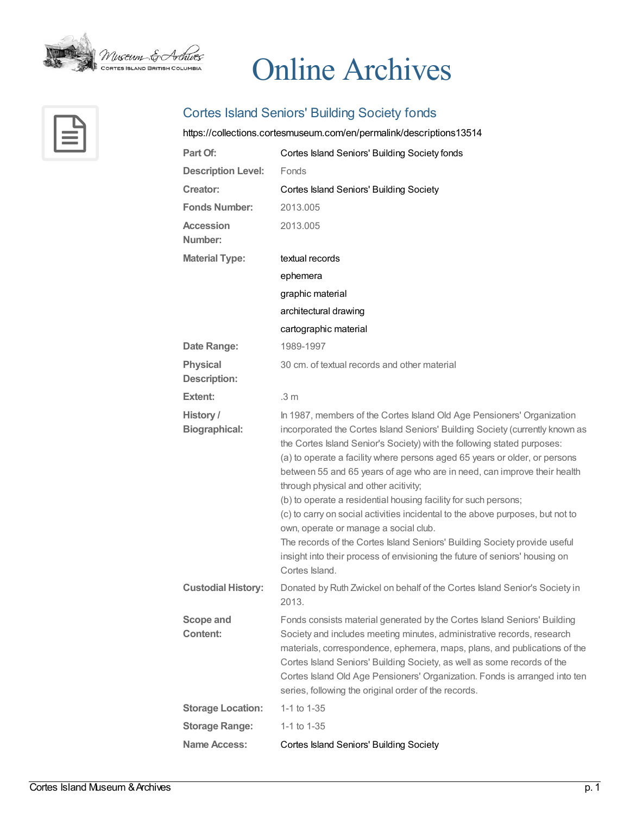

## Online Archives



## Cortes Island Seniors' Building Society fonds

## <https://collections.cortesmuseum.com/en/permalink/descriptions13514>

| Part Of:                          | Cortes Island Seniors' Building Society fonds                                                                                                                                                                                                                                                                                                                                                                                                                                                                                                                                                                                                                                                                                                                                                                    |
|-----------------------------------|------------------------------------------------------------------------------------------------------------------------------------------------------------------------------------------------------------------------------------------------------------------------------------------------------------------------------------------------------------------------------------------------------------------------------------------------------------------------------------------------------------------------------------------------------------------------------------------------------------------------------------------------------------------------------------------------------------------------------------------------------------------------------------------------------------------|
| <b>Description Level:</b>         | Fonds                                                                                                                                                                                                                                                                                                                                                                                                                                                                                                                                                                                                                                                                                                                                                                                                            |
| <b>Creator:</b>                   | <b>Cortes Island Seniors' Building Society</b>                                                                                                                                                                                                                                                                                                                                                                                                                                                                                                                                                                                                                                                                                                                                                                   |
| <b>Fonds Number:</b>              | 2013.005                                                                                                                                                                                                                                                                                                                                                                                                                                                                                                                                                                                                                                                                                                                                                                                                         |
| <b>Accession</b><br>Number:       | 2013.005                                                                                                                                                                                                                                                                                                                                                                                                                                                                                                                                                                                                                                                                                                                                                                                                         |
| <b>Material Type:</b>             | textual records                                                                                                                                                                                                                                                                                                                                                                                                                                                                                                                                                                                                                                                                                                                                                                                                  |
|                                   | ephemera                                                                                                                                                                                                                                                                                                                                                                                                                                                                                                                                                                                                                                                                                                                                                                                                         |
|                                   | graphic material                                                                                                                                                                                                                                                                                                                                                                                                                                                                                                                                                                                                                                                                                                                                                                                                 |
|                                   | architectural drawing                                                                                                                                                                                                                                                                                                                                                                                                                                                                                                                                                                                                                                                                                                                                                                                            |
|                                   | cartographic material                                                                                                                                                                                                                                                                                                                                                                                                                                                                                                                                                                                                                                                                                                                                                                                            |
| Date Range:                       | 1989-1997                                                                                                                                                                                                                                                                                                                                                                                                                                                                                                                                                                                                                                                                                                                                                                                                        |
| <b>Physical</b><br>Description:   | 30 cm, of textual records and other material                                                                                                                                                                                                                                                                                                                                                                                                                                                                                                                                                                                                                                                                                                                                                                     |
| Extent:                           | .3 m                                                                                                                                                                                                                                                                                                                                                                                                                                                                                                                                                                                                                                                                                                                                                                                                             |
| History /<br><b>Biographical:</b> | In 1987, members of the Cortes Island Old Age Pensioners' Organization<br>incorporated the Cortes Island Seniors' Building Society (currently known as<br>the Cortes Island Senior's Society) with the following stated purposes:<br>(a) to operate a facility where persons aged 65 years or older, or persons<br>between 55 and 65 years of age who are in need, can improve their health<br>through physical and other acitivity;<br>(b) to operate a residential housing facility for such persons;<br>(c) to carry on social activities incidental to the above purposes, but not to<br>own, operate or manage a social club.<br>The records of the Cortes Island Seniors' Building Society provide useful<br>insight into their process of envisioning the future of seniors' housing on<br>Cortes Island. |
| <b>Custodial History:</b>         | Donated by Ruth Zwickel on behalf of the Cortes Island Senior's Society in<br>2013.                                                                                                                                                                                                                                                                                                                                                                                                                                                                                                                                                                                                                                                                                                                              |
| <b>Scope and</b><br>Content:      | Fonds consists material generated by the Cortes Island Seniors' Building<br>Society and includes meeting minutes, administrative records, research<br>materials, correspondence, ephemera, maps, plans, and publications of the<br>Cortes Island Seniors' Building Society, as well as some records of the<br>Cortes Island Old Age Pensioners' Organization. Fonds is arranged into ten<br>series, following the original order of the records.                                                                                                                                                                                                                                                                                                                                                                 |
| <b>Storage Location:</b>          | 1-1 to $1-35$                                                                                                                                                                                                                                                                                                                                                                                                                                                                                                                                                                                                                                                                                                                                                                                                    |
| <b>Storage Range:</b>             | 1-1 to 1-35                                                                                                                                                                                                                                                                                                                                                                                                                                                                                                                                                                                                                                                                                                                                                                                                      |
| <b>Name Access:</b>               | <b>Cortes Island Seniors' Building Society</b>                                                                                                                                                                                                                                                                                                                                                                                                                                                                                                                                                                                                                                                                                                                                                                   |
|                                   |                                                                                                                                                                                                                                                                                                                                                                                                                                                                                                                                                                                                                                                                                                                                                                                                                  |